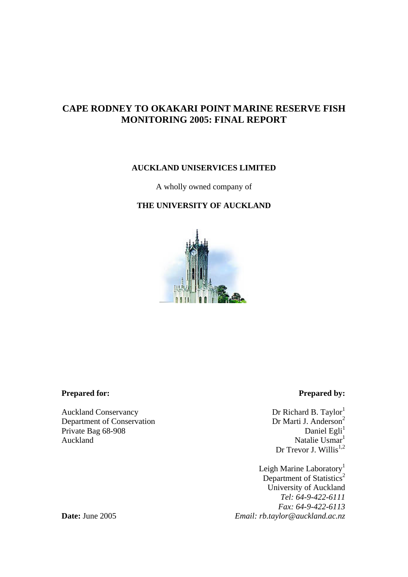# **CAPE RODNEY TO OKAKARI POINT MARINE RESERVE FISH MONITORING 2005: FINAL REPORT**

# **AUCKLAND UNISERVICES LIMITED**

A wholly owned company of

# **THE UNIVERSITY OF AUCKLAND**



### **Prepared for:** Prepared by:

Auckland Conservancy<br>
Dr Richard B. Taylor<sup>1</sup><br>
Dr Richard B. Taylor<sup>1</sup><br>
Dr Marti J. Anderson<sup>2</sup> Department of Conservation<br>
Private Bag 68-908<br>
Dr Marti J. Anderson<sup>2</sup><br>
Daniel Egli<sup>1</sup> Private Bag 68-908<br>Auckland

Natalie Usmar<sup>1</sup> Dr Trevor J. Willis $^{1,2}$ 

Leigh Marine Laboratory<sup>1</sup> Department of Statistics<sup>2</sup> University of Auckland  *Tel: 64-9-422-6111 Fax: 64-9-422-6113*  **Date:** June 2005 *Email: rb.taylor@auckland.ac.nz*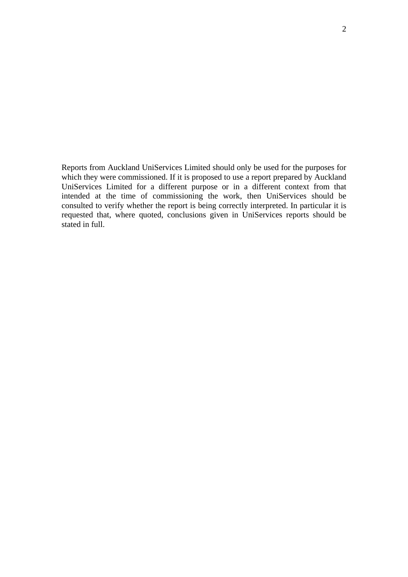Reports from Auckland UniServices Limited should only be used for the purposes for which they were commissioned. If it is proposed to use a report prepared by Auckland UniServices Limited for a different purpose or in a different context from that intended at the time of commissioning the work, then UniServices should be consulted to verify whether the report is being correctly interpreted. In particular it is requested that, where quoted, conclusions given in UniServices reports should be stated in full.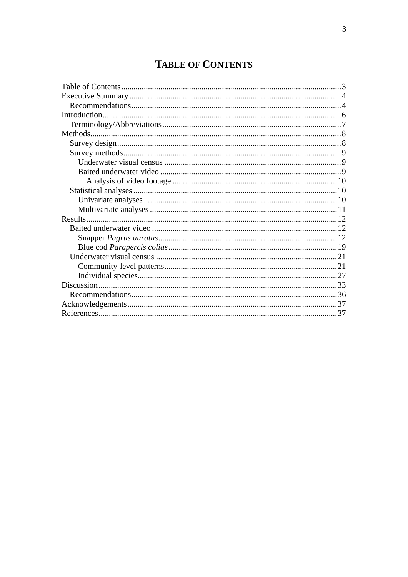# **TABLE OF CONTENTS**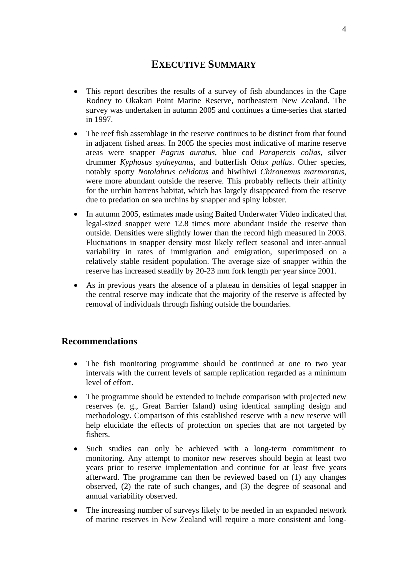# **EXECUTIVE SUMMARY**

- This report describes the results of a survey of fish abundances in the Cape Rodney to Okakari Point Marine Reserve, northeastern New Zealand. The survey was undertaken in autumn 2005 and continues a time-series that started in 1997.
- The reef fish assemblage in the reserve continues to be distinct from that found in adjacent fished areas. In 2005 the species most indicative of marine reserve areas were snapper *Pagrus auratus*, blue cod *Parapercis colias*, silver drummer *Kyphosus sydneyanus*, and butterfish *Odax pullus*. Other species, notably spotty *Notolabrus celidotus* and hiwihiwi *Chironemus marmoratus*, were more abundant outside the reserve. This probably reflects their affinity for the urchin barrens habitat, which has largely disappeared from the reserve due to predation on sea urchins by snapper and spiny lobster.
- In autumn 2005, estimates made using Baited Underwater Video indicated that legal-sized snapper were 12.8 times more abundant inside the reserve than outside. Densities were slightly lower than the record high measured in 2003. Fluctuations in snapper density most likely reflect seasonal and inter-annual variability in rates of immigration and emigration, superimposed on a relatively stable resident population. The average size of snapper within the reserve has increased steadily by 20-23 mm fork length per year since 2001.
- As in previous years the absence of a plateau in densities of legal snapper in the central reserve may indicate that the majority of the reserve is affected by removal of individuals through fishing outside the boundaries.

# **Recommendations**

- The fish monitoring programme should be continued at one to two year intervals with the current levels of sample replication regarded as a minimum level of effort.
- The programme should be extended to include comparison with projected new reserves (e. g., Great Barrier Island) using identical sampling design and methodology. Comparison of this established reserve with a new reserve will help elucidate the effects of protection on species that are not targeted by fishers.
- Such studies can only be achieved with a long-term commitment to monitoring. Any attempt to monitor new reserves should begin at least two years prior to reserve implementation and continue for at least five years afterward. The programme can then be reviewed based on (1) any changes observed, (2) the rate of such changes, and (3) the degree of seasonal and annual variability observed.
- The increasing number of surveys likely to be needed in an expanded network of marine reserves in New Zealand will require a more consistent and long-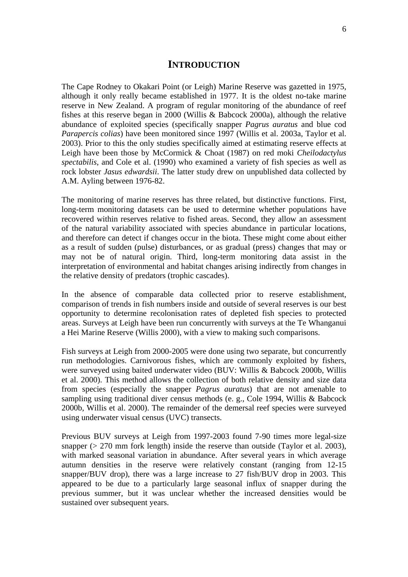# **INTRODUCTION**

The Cape Rodney to Okakari Point (or Leigh) Marine Reserve was gazetted in 1975, although it only really became established in 1977. It is the oldest no-take marine reserve in New Zealand. A program of regular monitoring of the abundance of reef fishes at this reserve began in 2000 (Willis & Babcock 2000a), although the relative abundance of exploited species (specifically snapper *Pagrus auratus* and blue cod *Parapercis colias*) have been monitored since 1997 (Willis et al. 2003a, Taylor et al. 2003). Prior to this the only studies specifically aimed at estimating reserve effects at Leigh have been those by McCormick & Choat (1987) on red moki *Cheilodactylus spectabilis*, and Cole et al. (1990) who examined a variety of fish species as well as rock lobster *Jasus edwardsii*. The latter study drew on unpublished data collected by A.M. Ayling between 1976-82.

The monitoring of marine reserves has three related, but distinctive functions. First, long-term monitoring datasets can be used to determine whether populations have recovered within reserves relative to fished areas. Second, they allow an assessment of the natural variability associated with species abundance in particular locations, and therefore can detect if changes occur in the biota. These might come about either as a result of sudden (pulse) disturbances, or as gradual (press) changes that may or may not be of natural origin. Third, long-term monitoring data assist in the interpretation of environmental and habitat changes arising indirectly from changes in the relative density of predators (trophic cascades).

In the absence of comparable data collected prior to reserve establishment, comparison of trends in fish numbers inside and outside of several reserves is our best opportunity to determine recolonisation rates of depleted fish species to protected areas. Surveys at Leigh have been run concurrently with surveys at the Te Whanganui a Hei Marine Reserve (Willis 2000), with a view to making such comparisons.

Fish surveys at Leigh from 2000-2005 were done using two separate, but concurrently run methodologies. Carnivorous fishes, which are commonly exploited by fishers, were surveyed using baited underwater video (BUV: Willis & Babcock 2000b, Willis et al. 2000). This method allows the collection of both relative density and size data from species (especially the snapper *Pagrus auratus*) that are not amenable to sampling using traditional diver census methods (e. g., Cole 1994, Willis & Babcock 2000b, Willis et al. 2000). The remainder of the demersal reef species were surveyed using underwater visual census (UVC) transects.

Previous BUV surveys at Leigh from 1997-2003 found 7-90 times more legal-size snapper ( $> 270$  mm fork length) inside the reserve than outside (Taylor et al. 2003), with marked seasonal variation in abundance. After several years in which average autumn densities in the reserve were relatively constant (ranging from 12-15 snapper/BUV drop), there was a large increase to 27 fish/BUV drop in 2003. This appeared to be due to a particularly large seasonal influx of snapper during the previous summer, but it was unclear whether the increased densities would be sustained over subsequent years.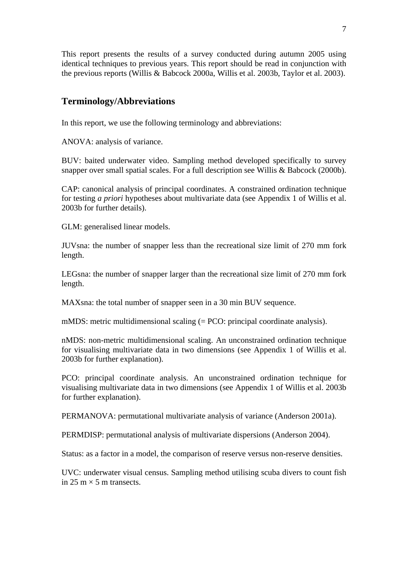This report presents the results of a survey conducted during autumn 2005 using identical techniques to previous years. This report should be read in conjunction with the previous reports (Willis & Babcock 2000a, Willis et al. 2003b, Taylor et al. 2003).

# **Terminology/Abbreviations**

In this report, we use the following terminology and abbreviations:

ANOVA: analysis of variance.

BUV: baited underwater video. Sampling method developed specifically to survey snapper over small spatial scales. For a full description see Willis & Babcock (2000b).

CAP: canonical analysis of principal coordinates. A constrained ordination technique for testing *a priori* hypotheses about multivariate data (see Appendix 1 of Willis et al. 2003b for further details).

GLM: generalised linear models.

JUVsna: the number of snapper less than the recreational size limit of 270 mm fork length.

LEGsna: the number of snapper larger than the recreational size limit of 270 mm fork length.

MAXsna: the total number of snapper seen in a 30 min BUV sequence.

mMDS: metric multidimensional scaling (= PCO: principal coordinate analysis).

nMDS: non-metric multidimensional scaling. An unconstrained ordination technique for visualising multivariate data in two dimensions (see Appendix 1 of Willis et al. 2003b for further explanation).

PCO: principal coordinate analysis. An unconstrained ordination technique for visualising multivariate data in two dimensions (see Appendix 1 of Willis et al. 2003b for further explanation).

PERMANOVA: permutational multivariate analysis of variance (Anderson 2001a).

PERMDISP: permutational analysis of multivariate dispersions (Anderson 2004).

Status: as a factor in a model, the comparison of reserve versus non-reserve densities.

UVC: underwater visual census. Sampling method utilising scuba divers to count fish in 25 m  $\times$  5 m transects.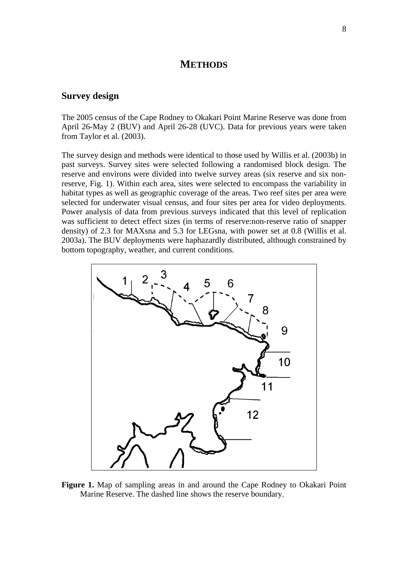# **METHODS**

# **Survey design**

The 2005 census of the Cape Rodney to Okakari Point Marine Reserve was done from April 26-May 2 (BUV) and April 26-28 (UVC). Data for previous years were taken from Taylor et al. (2003).

The survey design and methods were identical to those used by Willis et al. (2003b) in past surveys. Survey sites were selected following a randomised block design. The reserve and environs were divided into twelve survey areas (six reserve and six nonreserve, Fig. 1). Within each area, sites were selected to encompass the variability in habitat types as well as geographic coverage of the areas. Two reef sites per area were selected for underwater visual census, and four sites per area for video deployments. Power analysis of data from previous surveys indicated that this level of replication was sufficient to detect effect sizes (in terms of reserve:non-reserve ratio of snapper density) of 2.3 for MAXsna and 5.3 for LEGsna, with power set at 0.8 (Willis et al. 2003a). The BUV deployments were haphazardly distributed, although constrained by bottom topography, weather, and current conditions.



**Figure 1.** Map of sampling areas in and around the Cape Rodney to Okakari Point Marine Reserve. The dashed line shows the reserve boundary.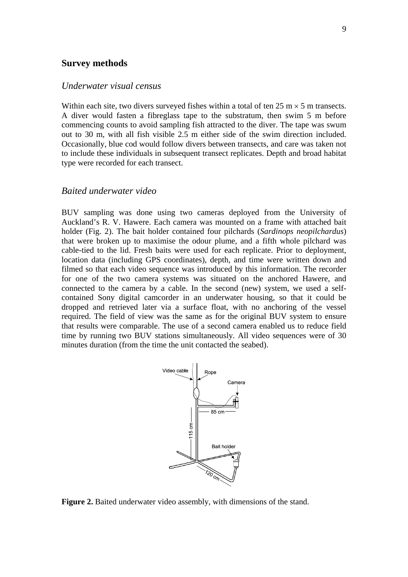#### **Survey methods**

#### *Underwater visual census*

Within each site, two divers surveyed fishes within a total of ten  $25 \text{ m} \times 5 \text{ m}$  transects. A diver would fasten a fibreglass tape to the substratum, then swim 5 m before commencing counts to avoid sampling fish attracted to the diver. The tape was swum out to 30 m, with all fish visible 2.5 m either side of the swim direction included. Occasionally, blue cod would follow divers between transects, and care was taken not to include these individuals in subsequent transect replicates. Depth and broad habitat type were recorded for each transect.

# *Baited underwater video*

BUV sampling was done using two cameras deployed from the University of Auckland's R. V. Hawere. Each camera was mounted on a frame with attached bait holder (Fig. 2). The bait holder contained four pilchards (*Sardinops neopilchardus*) that were broken up to maximise the odour plume, and a fifth whole pilchard was cable-tied to the lid. Fresh baits were used for each replicate. Prior to deployment, location data (including GPS coordinates), depth, and time were written down and filmed so that each video sequence was introduced by this information. The recorder for one of the two camera systems was situated on the anchored Hawere, and connected to the camera by a cable. In the second (new) system, we used a selfcontained Sony digital camcorder in an underwater housing, so that it could be dropped and retrieved later via a surface float, with no anchoring of the vessel required. The field of view was the same as for the original BUV system to ensure that results were comparable. The use of a second camera enabled us to reduce field time by running two BUV stations simultaneously. All video sequences were of 30 minutes duration (from the time the unit contacted the seabed).



**Figure 2.** Baited underwater video assembly, with dimensions of the stand.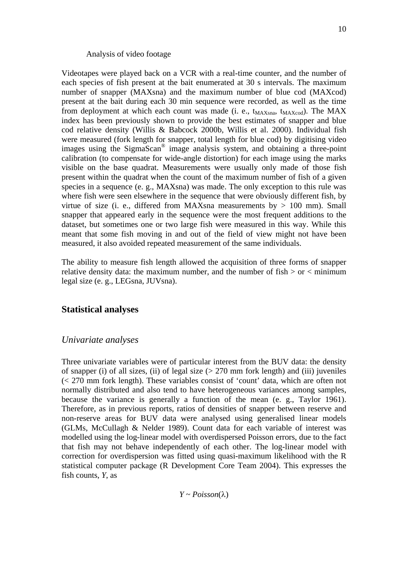#### Analysis of video footage

Videotapes were played back on a VCR with a real-time counter, and the number of each species of fish present at the bait enumerated at 30 s intervals. The maximum number of snapper (MAXsna) and the maximum number of blue cod (MAXcod) present at the bait during each 30 min sequence were recorded, as well as the time from deployment at which each count was made (i. e.,  $t_{MAXsna}$ ,  $t_{MAXcod}$ ). The MAX index has been previously shown to provide the best estimates of snapper and blue cod relative density (Willis & Babcock 2000b, Willis et al. 2000). Individual fish were measured (fork length for snapper, total length for blue cod) by digitising video images using the SigmaScan® image analysis system, and obtaining a three-point calibration (to compensate for wide-angle distortion) for each image using the marks visible on the base quadrat. Measurements were usually only made of those fish present within the quadrat when the count of the maximum number of fish of a given species in a sequence (e. g., MAXsna) was made. The only exception to this rule was where fish were seen elsewhere in the sequence that were obviously different fish, by virtue of size (i. e., differed from MAXsna measurements by  $> 100$  mm). Small snapper that appeared early in the sequence were the most frequent additions to the dataset, but sometimes one or two large fish were measured in this way. While this meant that some fish moving in and out of the field of view might not have been measured, it also avoided repeated measurement of the same individuals.

The ability to measure fish length allowed the acquisition of three forms of snapper relative density data: the maximum number, and the number of  $fish > or < minimum$ legal size (e. g., LEGsna, JUVsna).

# **Statistical analyses**

### *Univariate analyses*

Three univariate variables were of particular interest from the BUV data: the density of snapper (i) of all sizes, (ii) of legal size  $(> 270 \text{ mm}$  fork length) and (iii) juveniles (< 270 mm fork length). These variables consist of 'count' data, which are often not normally distributed and also tend to have heterogeneous variances among samples, because the variance is generally a function of the mean (e. g., Taylor 1961). Therefore, as in previous reports, ratios of densities of snapper between reserve and non-reserve areas for BUV data were analysed using generalised linear models (GLMs, McCullagh & Nelder 1989). Count data for each variable of interest was modelled using the log-linear model with overdispersed Poisson errors, due to the fact that fish may not behave independently of each other. The log-linear model with correction for overdispersion was fitted using quasi-maximum likelihood with the R statistical computer package (R Development Core Team 2004). This expresses the fish counts, *Y*, as

*Y* ~ *Poisson*(λ)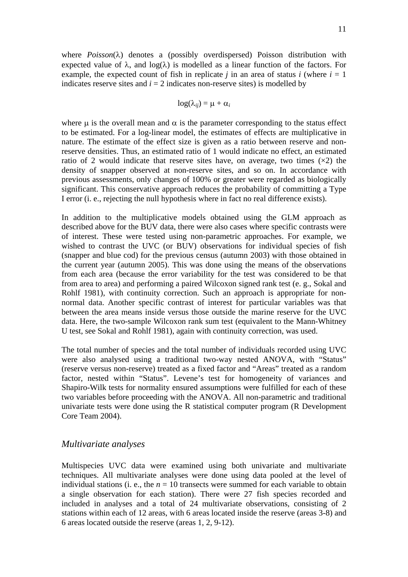where *Poisson*(λ) denotes a (possibly overdispersed) Poisson distribution with expected value of  $\lambda$ , and  $log(\lambda)$  is modelled as a linear function of the factors. For example, the expected count of fish in replicate *j* in an area of status *i* (where  $i = 1$ ) indicates reserve sites and  $i = 2$  indicates non-reserve sites) is modelled by

$$
\log(\lambda_{ij}) = \mu + \alpha_i
$$

where  $\mu$  is the overall mean and  $\alpha$  is the parameter corresponding to the status effect to be estimated. For a log-linear model, the estimates of effects are multiplicative in nature. The estimate of the effect size is given as a ratio between reserve and nonreserve densities. Thus, an estimated ratio of 1 would indicate no effect, an estimated ratio of 2 would indicate that reserve sites have, on average, two times  $(x2)$  the density of snapper observed at non-reserve sites, and so on. In accordance with previous assessments, only changes of 100% or greater were regarded as biologically significant. This conservative approach reduces the probability of committing a Type I error (i. e., rejecting the null hypothesis where in fact no real difference exists).

In addition to the multiplicative models obtained using the GLM approach as described above for the BUV data, there were also cases where specific contrasts were of interest. These were tested using non-parametric approaches. For example, we wished to contrast the UVC (or BUV) observations for individual species of fish (snapper and blue cod) for the previous census (autumn 2003) with those obtained in the current year (autumn 2005). This was done using the means of the observations from each area (because the error variability for the test was considered to be that from area to area) and performing a paired Wilcoxon signed rank test (e. g., Sokal and Rohlf 1981), with continuity correction. Such an approach is appropriate for nonnormal data. Another specific contrast of interest for particular variables was that between the area means inside versus those outside the marine reserve for the UVC data. Here, the two-sample Wilcoxon rank sum test (equivalent to the Mann-Whitney U test, see Sokal and Rohlf 1981), again with continuity correction, was used.

The total number of species and the total number of individuals recorded using UVC were also analysed using a traditional two-way nested ANOVA, with "Status" (reserve versus non-reserve) treated as a fixed factor and "Areas" treated as a random factor, nested within "Status". Levene's test for homogeneity of variances and Shapiro-Wilk tests for normality ensured assumptions were fulfilled for each of these two variables before proceeding with the ANOVA. All non-parametric and traditional univariate tests were done using the R statistical computer program (R Development Core Team 2004).

#### *Multivariate analyses*

Multispecies UVC data were examined using both univariate and multivariate techniques. All multivariate analyses were done using data pooled at the level of individual stations (i. e., the  $n = 10$  transects were summed for each variable to obtain a single observation for each station). There were 27 fish species recorded and included in analyses and a total of 24 multivariate observations, consisting of 2 stations within each of 12 areas, with 6 areas located inside the reserve (areas 3-8) and 6 areas located outside the reserve (areas 1, 2, 9-12).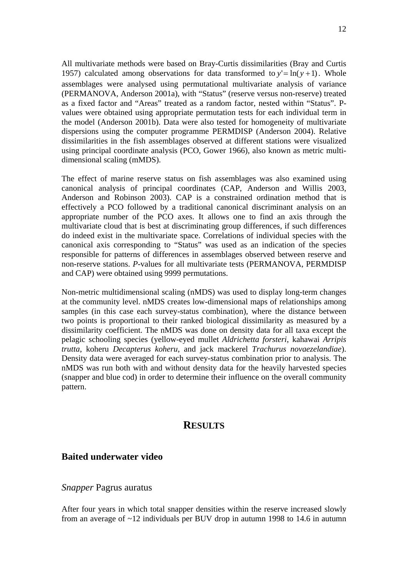All multivariate methods were based on Bray-Curtis dissimilarities (Bray and Curtis 1957) calculated among observations for data transformed to  $y' = \ln(y + 1)$ . Whole assemblages were analysed using permutational multivariate analysis of variance (PERMANOVA, Anderson 2001a), with "Status" (reserve versus non-reserve) treated as a fixed factor and "Areas" treated as a random factor, nested within "Status". Pvalues were obtained using appropriate permutation tests for each individual term in the model (Anderson 2001b). Data were also tested for homogeneity of multivariate dispersions using the computer programme PERMDISP (Anderson 2004). Relative dissimilarities in the fish assemblages observed at different stations were visualized using principal coordinate analysis (PCO, Gower 1966), also known as metric multidimensional scaling (mMDS).

The effect of marine reserve status on fish assemblages was also examined using canonical analysis of principal coordinates (CAP, Anderson and Willis 2003, Anderson and Robinson 2003). CAP is a constrained ordination method that is effectively a PCO followed by a traditional canonical discriminant analysis on an appropriate number of the PCO axes. It allows one to find an axis through the multivariate cloud that is best at discriminating group differences, if such differences do indeed exist in the multivariate space. Correlations of individual species with the canonical axis corresponding to "Status" was used as an indication of the species responsible for patterns of differences in assemblages observed between reserve and non-reserve stations. *P*-values for all multivariate tests (PERMANOVA, PERMDISP and CAP) were obtained using 9999 permutations.

Non-metric multidimensional scaling (nMDS) was used to display long-term changes at the community level. nMDS creates low-dimensional maps of relationships among samples (in this case each survey-status combination), where the distance between two points is proportional to their ranked biological dissimilarity as measured by a dissimilarity coefficient. The nMDS was done on density data for all taxa except the pelagic schooling species (yellow-eyed mullet *Aldrichetta forsteri*, kahawai *Arripis trutta*, koheru *Decapterus koheru*, and jack mackerel *Trachurus novaezelandiae*). Density data were averaged for each survey-status combination prior to analysis. The nMDS was run both with and without density data for the heavily harvested species (snapper and blue cod) in order to determine their influence on the overall community pattern.

# **RESULTS**

## **Baited underwater video**

# *Snapper* Pagrus auratus

After four years in which total snapper densities within the reserve increased slowly from an average of ~12 individuals per BUV drop in autumn 1998 to 14.6 in autumn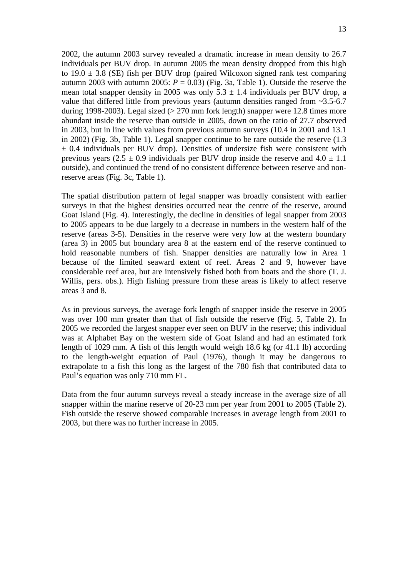2002, the autumn 2003 survey revealed a dramatic increase in mean density to 26.7 individuals per BUV drop. In autumn 2005 the mean density dropped from this high to  $19.0 \pm 3.8$  (SE) fish per BUV drop (paired Wilcoxon signed rank test comparing autumn 2003 with autumn 2005:  $P = 0.03$ ) (Fig. 3a, Table 1). Outside the reserve the mean total snapper density in 2005 was only  $5.3 \pm 1.4$  individuals per BUV drop, a value that differed little from previous years (autumn densities ranged from ~3.5-6.7 during 1998-2003). Legal sized  $(> 270 \text{ mm}$  fork length) snapper were 12.8 times more abundant inside the reserve than outside in 2005, down on the ratio of 27.7 observed in 2003, but in line with values from previous autumn surveys (10.4 in 2001 and 13.1 in 2002) (Fig. 3b, Table 1). Legal snapper continue to be rare outside the reserve (1.3  $\pm$  0.4 individuals per BUV drop). Densities of undersize fish were consistent with previous years (2.5  $\pm$  0.9 individuals per BUV drop inside the reserve and 4.0  $\pm$  1.1 outside), and continued the trend of no consistent difference between reserve and nonreserve areas (Fig. 3c, Table 1).

The spatial distribution pattern of legal snapper was broadly consistent with earlier surveys in that the highest densities occurred near the centre of the reserve, around Goat Island (Fig. 4). Interestingly, the decline in densities of legal snapper from 2003 to 2005 appears to be due largely to a decrease in numbers in the western half of the reserve (areas 3-5). Densities in the reserve were very low at the western boundary (area 3) in 2005 but boundary area 8 at the eastern end of the reserve continued to hold reasonable numbers of fish. Snapper densities are naturally low in Area 1 because of the limited seaward extent of reef. Areas 2 and 9, however have considerable reef area, but are intensively fished both from boats and the shore (T. J. Willis, pers. obs.). High fishing pressure from these areas is likely to affect reserve areas 3 and 8.

As in previous surveys, the average fork length of snapper inside the reserve in 2005 was over 100 mm greater than that of fish outside the reserve (Fig. 5, Table 2). In 2005 we recorded the largest snapper ever seen on BUV in the reserve; this individual was at Alphabet Bay on the western side of Goat Island and had an estimated fork length of 1029 mm. A fish of this length would weigh 18.6 kg (or 41.1 lb) according to the length-weight equation of Paul (1976), though it may be dangerous to extrapolate to a fish this long as the largest of the 780 fish that contributed data to Paul's equation was only 710 mm FL.

Data from the four autumn surveys reveal a steady increase in the average size of all snapper within the marine reserve of 20-23 mm per year from 2001 to 2005 (Table 2). Fish outside the reserve showed comparable increases in average length from 2001 to 2003, but there was no further increase in 2005.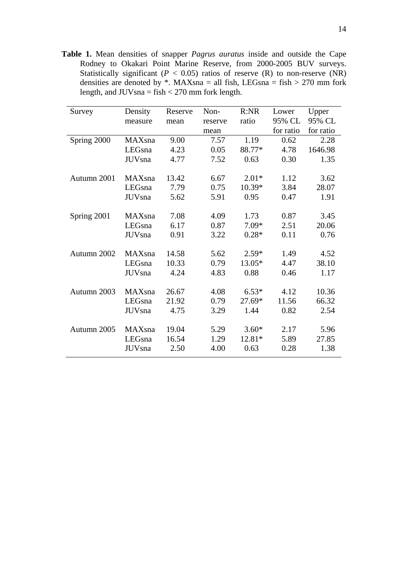**Table 1.** Mean densities of snapper *Pagrus auratus* inside and outside the Cape Rodney to Okakari Point Marine Reserve, from 2000-2005 BUV surveys. Statistically significant ( $P < 0.05$ ) ratios of reserve (R) to non-reserve (NR) densities are denoted by  $*$ . MAXsna = all fish, LEGsna = fish > 270 mm fork length, and  $JUVsna = fish < 270$  mm fork length.

| Survey      | Density        | Reserve | Non-    | R:NR     | Lower     | Upper     |
|-------------|----------------|---------|---------|----------|-----------|-----------|
|             | measure        | mean    | reserve | ratio    | 95% CL    | 95% CL    |
|             |                |         | mean    |          | for ratio | for ratio |
| Spring 2000 | MAXsna         | 9.00    | 7.57    | 1.19     | 0.62      | 2.28      |
|             | LEGsna         | 4.23    | 0.05    | 88.77*   | 4.78      | 1646.98   |
|             | <b>JUV</b> sna | 4.77    | 7.52    | 0.63     | 0.30      | 1.35      |
|             |                |         |         |          |           |           |
| Autumn 2001 | MAXsna         | 13.42   | 6.67    | $2.01*$  | 1.12      | 3.62      |
|             | LEGsna         | 7.79    | 0.75    | 10.39*   | 3.84      | 28.07     |
|             | <b>JUV</b> sna | 5.62    | 5.91    | 0.95     | 0.47      | 1.91      |
|             |                |         |         |          |           |           |
| Spring 2001 | MAXsna         | 7.08    | 4.09    | 1.73     | 0.87      | 3.45      |
|             | LEGsna         | 6.17    | 0.87    | $7.09*$  | 2.51      | 20.06     |
|             | <b>JUV</b> sna | 0.91    | 3.22    | $0.28*$  | 0.11      | 0.76      |
|             |                |         |         |          |           |           |
| Autumn 2002 | MAXsna         | 14.58   | 5.62    | $2.59*$  | 1.49      | 4.52      |
|             | LEGsna         | 10.33   | 0.79    | 13.05*   | 4.47      | 38.10     |
|             | <b>JUV</b> sna | 4.24    | 4.83    | 0.88     | 0.46      | 1.17      |
|             |                |         |         |          |           |           |
| Autumn 2003 | MAXsna         | 26.67   | 4.08    | $6.53*$  | 4.12      | 10.36     |
|             | LEGsna         | 21.92   | 0.79    | $27.69*$ | 11.56     | 66.32     |
|             | <b>JUV</b> sna | 4.75    | 3.29    | 1.44     | 0.82      | 2.54      |
|             |                |         |         |          |           |           |
| Autumn 2005 | MAXsna         | 19.04   | 5.29    | $3.60*$  | 2.17      | 5.96      |
|             | LEGsna         | 16.54   | 1.29    | 12.81*   | 5.89      | 27.85     |
|             | <b>JUV</b> sna | 2.50    | 4.00    | 0.63     | 0.28      | 1.38      |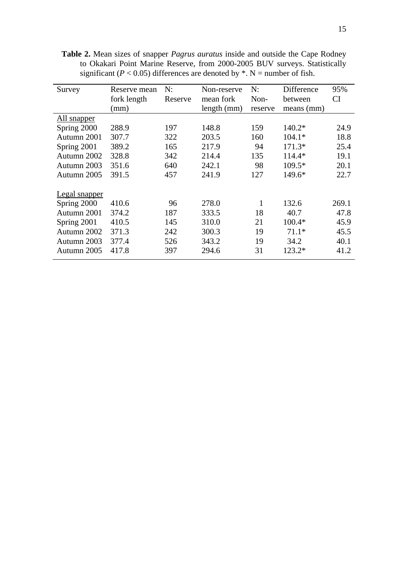| Survey        | Reserve mean | N:      | Non-reserve | N:      | Difference | 95%       |
|---------------|--------------|---------|-------------|---------|------------|-----------|
|               | fork length  | Reserve | mean fork   | Non-    | between    | <b>CI</b> |
|               | (mm)         |         | length (mm) | reserve | means (mm) |           |
| All snapper   |              |         |             |         |            |           |
| Spring 2000   | 288.9        | 197     | 148.8       | 159     | $140.2*$   | 24.9      |
| Autumn 2001   | 307.7        | 322     | 203.5       | 160     | $104.1*$   | 18.8      |
| Spring 2001   | 389.2        | 165     | 217.9       | 94      | $171.3*$   | 25.4      |
| Autumn 2002   | 328.8        | 342     | 214.4       | 135     | 114.4*     | 19.1      |
| Autumn 2003   | 351.6        | 640     | 242.1       | 98      | $109.5*$   | 20.1      |
| Autumn 2005   | 391.5        | 457     | 241.9       | 127     | $149.6*$   | 22.7      |
|               |              |         |             |         |            |           |
| Legal snapper |              |         |             |         |            |           |
| Spring 2000   | 410.6        | 96      | 278.0       | 1       | 132.6      | 269.1     |
| Autumn 2001   | 374.2        | 187     | 333.5       | 18      | 40.7       | 47.8      |
| Spring 2001   | 410.5        | 145     | 310.0       | 21      | $100.4*$   | 45.9      |
| Autumn 2002   | 371.3        | 242     | 300.3       | 19      | $71.1*$    | 45.5      |
| Autumn 2003   | 377.4        | 526     | 343.2       | 19      | 34.2       | 40.1      |
| Autumn 2005   | 417.8        | 397     | 294.6       | 31      | 123.2*     | 41.2      |
|               |              |         |             |         |            |           |

**Table 2.** Mean sizes of snapper *Pagrus auratus* inside and outside the Cape Rodney to Okakari Point Marine Reserve, from 2000-2005 BUV surveys. Statistically significant ( $P < 0.05$ ) differences are denoted by  $*$ . N = number of fish.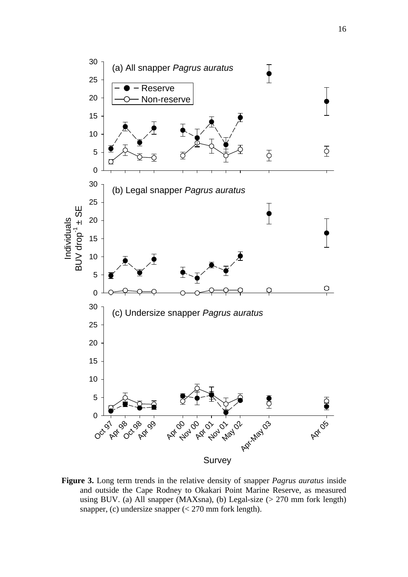

**Figure 3.** Long term trends in the relative density of snapper *Pagrus auratus* inside and outside the Cape Rodney to Okakari Point Marine Reserve, as measured using BUV. (a) All snapper (MAXsna), (b) Legal-size (> 270 mm fork length) snapper, (c) undersize snapper  $\ll$  270 mm fork length).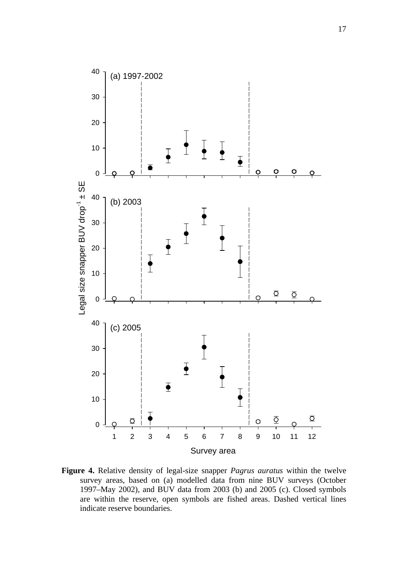

**Figure 4.** Relative density of legal-size snapper *Pagrus auratus* within the twelve survey areas, based on (a) modelled data from nine BUV surveys (October 1997–May 2002), and BUV data from 2003 (b) and 2005 (c). Closed symbols are within the reserve, open symbols are fished areas. Dashed vertical lines indicate reserve boundaries.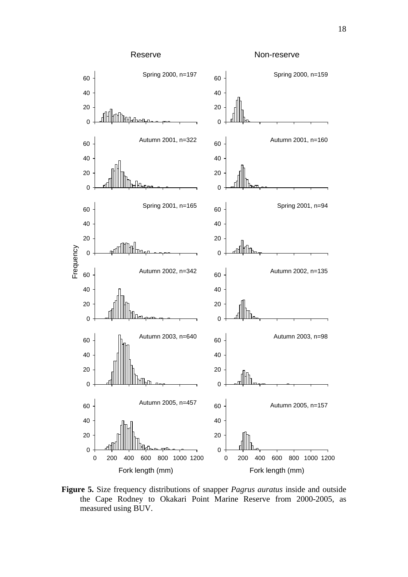

**Figure 5.** Size frequency distributions of snapper *Pagrus auratus* inside and outside the Cape Rodney to Okakari Point Marine Reserve from 2000-2005, as measured using BUV.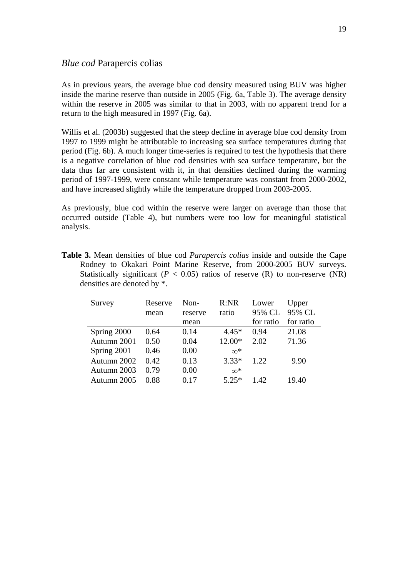# *Blue cod* Parapercis colias

As in previous years, the average blue cod density measured using BUV was higher inside the marine reserve than outside in 2005 (Fig. 6a, Table 3). The average density within the reserve in 2005 was similar to that in 2003, with no apparent trend for a return to the high measured in 1997 (Fig. 6a).

Willis et al. (2003b) suggested that the steep decline in average blue cod density from 1997 to 1999 might be attributable to increasing sea surface temperatures during that period (Fig. 6b). A much longer time-series is required to test the hypothesis that there is a negative correlation of blue cod densities with sea surface temperature, but the data thus far are consistent with it, in that densities declined during the warming period of 1997-1999, were constant while temperature was constant from 2000-2002, and have increased slightly while the temperature dropped from 2003-2005.

As previously, blue cod within the reserve were larger on average than those that occurred outside (Table 4), but numbers were too low for meaningful statistical analysis.

| Survey      | Reserve<br>mean | $Non-$<br>reserve | R:NR<br>ratio | Lower<br>95% CL | Upper<br>95% CL |
|-------------|-----------------|-------------------|---------------|-----------------|-----------------|
|             |                 | mean              |               | for ratio       | for ratio       |
| Spring 2000 | 0.64            | 0.14              | $4.45*$       | 0.94            | 21.08           |
| Autumn 2001 | 0.50            | 0.04              | $12.00*$      | 2.02            | 71.36           |
| Spring 2001 | 0.46            | 0.00              | $\infty^*$    |                 |                 |
| Autumn 2002 | 0.42            | 0.13              | $3.33*$       | 1.22            | 9.90            |
| Autumn 2003 | 0.79            | 0.00              | $\infty^*$    |                 |                 |
| Autumn 2005 | 0.88            | 0.17              | $5.25*$       | 1.42            | 19.40           |

**Table 3.** Mean densities of blue cod *Parapercis colias* inside and outside the Cape Rodney to Okakari Point Marine Reserve, from 2000-2005 BUV surveys. Statistically significant ( $P < 0.05$ ) ratios of reserve (R) to non-reserve (NR) densities are denoted by \*.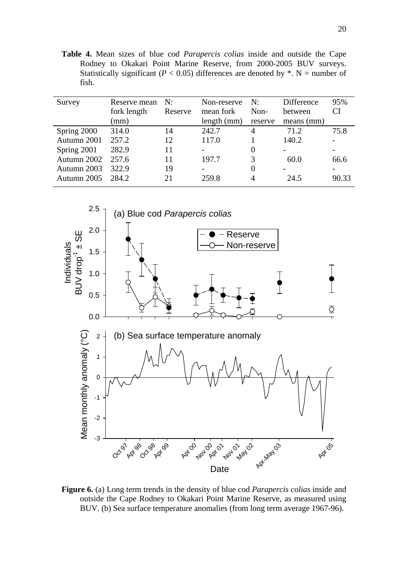**Table 4.** Mean sizes of blue cod *Parapercis colias* inside and outside the Cape Rodney to Okakari Point Marine Reserve, from 2000-2005 BUV surveys. Statistically significant ( $P < 0.05$ ) differences are denoted by  $*$ . N = number of fish.

| Survey      | Reserve mean<br>fork length<br>(mm) | N:<br>Reserve | Non-reserve<br>mean fork<br>length (mm) | N:<br>Non-<br>reserve | Difference<br>between<br>$means$ (mm) | 95%<br>CI |
|-------------|-------------------------------------|---------------|-----------------------------------------|-----------------------|---------------------------------------|-----------|
| Spring 2000 | 314.0                               | 14            | 242.7                                   | 4                     | 71.2                                  | 75.8      |
| Autumn 2001 | 257.2                               | 12            | 117.0                                   |                       | 140.2                                 |           |
| Spring 2001 | 282.9                               | 11            | $\overline{\phantom{0}}$                | $\theta$              |                                       |           |
| Autumn 2002 | 257.6                               | 11            | 197.7                                   | 3                     | 60.0                                  | 66.6      |
| Autumn 2003 | 322.9                               | 19            |                                         | 0                     |                                       |           |
| Autumn 2005 | 284.2                               | 21            | 259.8                                   | 4                     | 24.5                                  | 90.33     |



**Figure 6.** (a) Long term trends in the density of blue cod *Parapercis colias* inside and outside the Cape Rodney to Okakari Point Marine Reserve, as measured using BUV. (b) Sea surface temperature anomalies (from long term average 1967-96).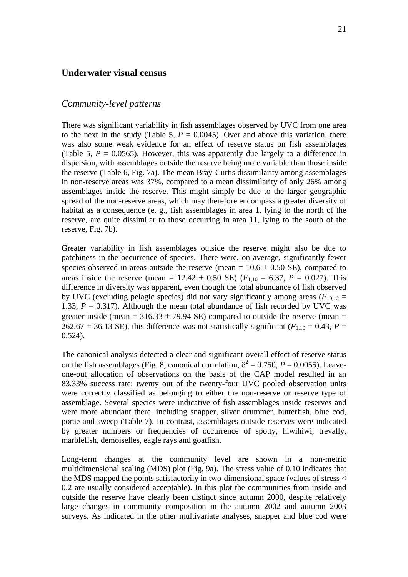# **Underwater visual census**

### *Community-level patterns*

There was significant variability in fish assemblages observed by UVC from one area to the next in the study (Table 5,  $P = 0.0045$ ). Over and above this variation, there was also some weak evidence for an effect of reserve status on fish assemblages (Table 5,  $P = 0.0565$ ). However, this was apparently due largely to a difference in dispersion, with assemblages outside the reserve being more variable than those inside the reserve (Table 6, Fig. 7a). The mean Bray-Curtis dissimilarity among assemblages in non-reserve areas was 37%, compared to a mean dissimilarity of only 26% among assemblages inside the reserve. This might simply be due to the larger geographic spread of the non-reserve areas, which may therefore encompass a greater diversity of habitat as a consequence (e. g., fish assemblages in area 1, lying to the north of the reserve, are quite dissimilar to those occurring in area 11, lying to the south of the reserve, Fig. 7b).

Greater variability in fish assemblages outside the reserve might also be due to patchiness in the occurrence of species. There were, on average, significantly fewer species observed in areas outside the reserve (mean =  $10.6 \pm 0.50$  SE), compared to areas inside the reserve (mean =  $12.42 \pm 0.50$  SE) ( $F_{1,10} = 6.37$ ,  $P = 0.027$ ). This difference in diversity was apparent, even though the total abundance of fish observed by UVC (excluding pelagic species) did not vary significantly among areas ( $F_{10,12}$  = 1.33,  $P = 0.317$ ). Although the mean total abundance of fish recorded by UVC was greater inside (mean =  $316.33 \pm 79.94$  SE) compared to outside the reserve (mean = 262.67  $\pm$  36.13 SE), this difference was not statistically significant ( $F_{1,10} = 0.43$ ,  $P =$ 0.524).

The canonical analysis detected a clear and significant overall effect of reserve status on the fish assemblages (Fig. 8, canonical correlation,  $\delta^2 = 0.750$ ,  $P = 0.0055$ ). Leaveone-out allocation of observations on the basis of the CAP model resulted in an 83.33% success rate: twenty out of the twenty-four UVC pooled observation units were correctly classified as belonging to either the non-reserve or reserve type of assemblage. Several species were indicative of fish assemblages inside reserves and were more abundant there, including snapper, silver drummer, butterfish, blue cod, porae and sweep (Table 7). In contrast, assemblages outside reserves were indicated by greater numbers or frequencies of occurrence of spotty, hiwihiwi, trevally, marblefish, demoiselles, eagle rays and goatfish.

Long-term changes at the community level are shown in a non-metric multidimensional scaling (MDS) plot (Fig. 9a). The stress value of 0.10 indicates that the MDS mapped the points satisfactorily in two-dimensional space (values of stress < 0.2 are usually considered acceptable). In this plot the communities from inside and outside the reserve have clearly been distinct since autumn 2000, despite relatively large changes in community composition in the autumn 2002 and autumn 2003 surveys. As indicated in the other multivariate analyses, snapper and blue cod were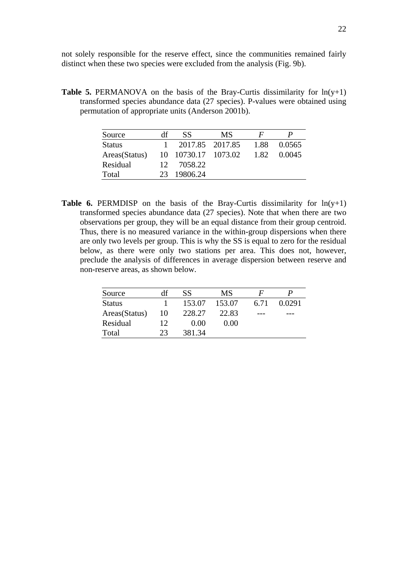not solely responsible for the reserve effect, since the communities remained fairly distinct when these two species were excluded from the analysis (Fig. 9b).

**Table 5.** PERMANOVA on the basis of the Bray-Curtis dissimilarity for  $ln(y+1)$ transformed species abundance data (27 species). P-values were obtained using permutation of appropriate units (Anderson 2001b).

| Source        | df              | SS.                 | <b>MS</b> | F    |        |
|---------------|-----------------|---------------------|-----------|------|--------|
| <b>Status</b> |                 | 2017.85 2017.85     |           | 1.88 | 0.0565 |
| Areas(Status) |                 | 10 10730.17 1073.02 |           | 1.82 | 0.0045 |
| Residual      | 12 <sup>7</sup> | 7058.22             |           |      |        |
| Total         | 23              | 19806.24            |           |      |        |

**Table 6.** PERMDISP on the basis of the Bray-Curtis dissimilarity for  $ln(y+1)$ transformed species abundance data (27 species). Note that when there are two observations per group, they will be an equal distance from their group centroid. Thus, there is no measured variance in the within-group dispersions when there are only two levels per group. This is why the SS is equal to zero for the residual below, as there were only two stations per area. This does not, however, preclude the analysis of differences in average dispersion between reserve and non-reserve areas, as shown below.

| Source        | df | SS     | MS     | $\bm{F}$ |        |
|---------------|----|--------|--------|----------|--------|
| <b>Status</b> |    | 153.07 | 153.07 | 6.71     | 0.0291 |
| Areas(Status) | 10 | 228.27 | 22.83  | ---      |        |
| Residual      | 12 | 0.00   | 0.00   |          |        |
| Total         |    | 381.34 |        |          |        |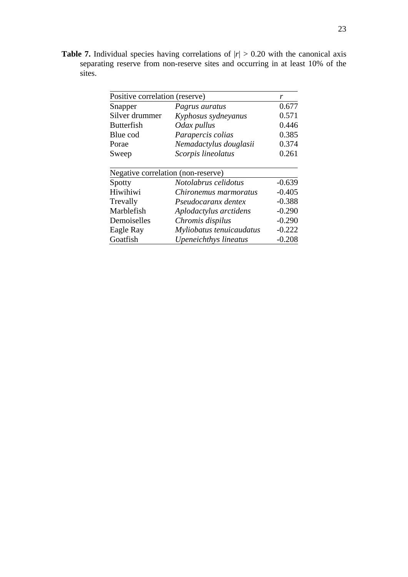**Table 7.** Individual species having correlations of  $|r| > 0.20$  with the canonical axis separating reserve from non-reserve sites and occurring in at least 10% of the sites.

| Positive correlation (reserve)     |                          | r        |
|------------------------------------|--------------------------|----------|
| Snapper                            | Pagrus auratus           | 0.677    |
| Silver drummer                     | Kyphosus sydneyanus      | 0.571    |
| <b>Butterfish</b>                  | Odax pullus              | 0.446    |
| Blue cod                           | Parapercis colias        | 0.385    |
| Porae                              | Nemadactylus douglasii   | 0.374    |
| Sweep                              | Scorpis lineolatus       | 0.261    |
| Negative correlation (non-reserve) |                          |          |
| Spotty                             | Notolabrus celidotus     | $-0.639$ |
| Hiwihiwi                           | Chironemus marmoratus    | $-0.405$ |
| Trevally                           | Pseudocaranx dentex      | $-0.388$ |
| Marblefish                         | Aplodactylus arctidens   | $-0.290$ |
| Demoiselles                        | Chromis dispilus         | $-0.290$ |
| Eagle Ray                          | Myliobatus tenuicaudatus | $-0.222$ |
| Goatfish                           | Upeneichthys lineatus    | $-0.208$ |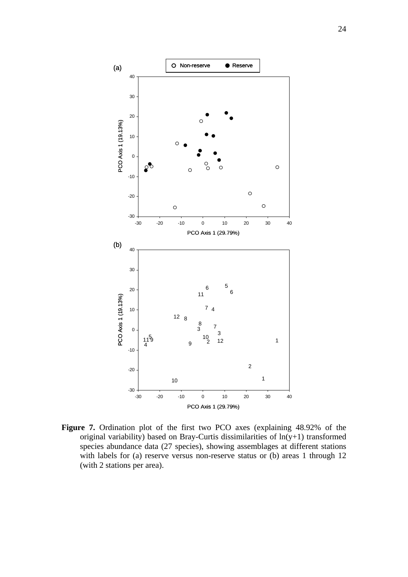

**Figure 7.** Ordination plot of the first two PCO axes (explaining 48.92% of the original variability) based on Bray-Curtis dissimilarities of ln(y+1) transformed species abundance data (27 species), showing assemblages at different stations with labels for (a) reserve versus non-reserve status or (b) areas 1 through 12 (with 2 stations per area).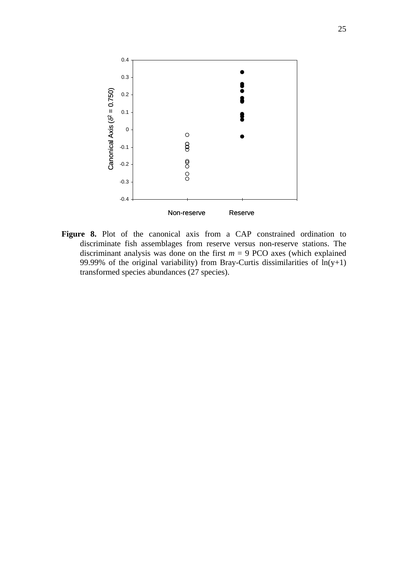

**Figure 8.** Plot of the canonical axis from a CAP constrained ordination to discriminate fish assemblages from reserve versus non-reserve stations. The discriminant analysis was done on the first  $m = 9$  PCO axes (which explained 99.99% of the original variability) from Bray-Curtis dissimilarities of  $ln(y+1)$ transformed species abundances (27 species).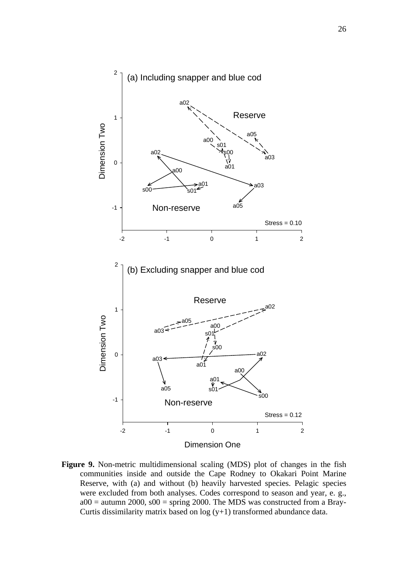

**Figure 9.** Non-metric multidimensional scaling (MDS) plot of changes in the fish communities inside and outside the Cape Rodney to Okakari Point Marine Reserve, with (a) and without (b) heavily harvested species. Pelagic species were excluded from both analyses. Codes correspond to season and year, e. g.,  $a00 =$  autumn 2000,  $s00 =$  spring 2000. The MDS was constructed from a Bray-Curtis dissimilarity matrix based on  $log(y+1)$  transformed abundance data.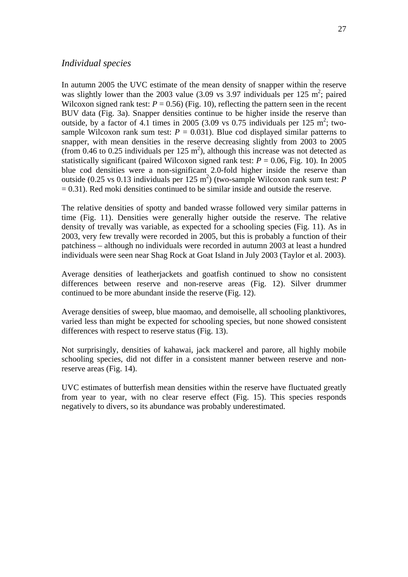# *Individual species*

In autumn 2005 the UVC estimate of the mean density of snapper within the reserve was slightly lower than the 2003 value  $(3.09 \text{ vs } 3.97 \text{ individuals per } 125 \text{ m}^2)$ ; paired Wilcoxon signed rank test:  $P = 0.56$ ) (Fig. 10), reflecting the pattern seen in the recent BUV data (Fig. 3a). Snapper densities continue to be higher inside the reserve than outside, by a factor of 4.1 times in 2005 (3.09 vs 0.75 individuals per 125 m<sup>2</sup>; twosample Wilcoxon rank sum test:  $P = 0.031$ ). Blue cod displayed similar patterns to snapper, with mean densities in the reserve decreasing slightly from 2003 to 2005 (from 0.46 to 0.25 individuals per  $125 \text{ m}^2$ ), although this increase was not detected as statistically significant (paired Wilcoxon signed rank test:  $P = 0.06$ , Fig. 10). In 2005 blue cod densities were a non-significant 2.0-fold higher inside the reserve than outside (0.25 vs 0.13 individuals per 125 m<sup>2</sup>) (two-sample Wilcoxon rank sum test: *P*  $= 0.31$ ). Red moki densities continued to be similar inside and outside the reserve.

The relative densities of spotty and banded wrasse followed very similar patterns in time (Fig. 11). Densities were generally higher outside the reserve. The relative density of trevally was variable, as expected for a schooling species (Fig. 11). As in 2003, very few trevally were recorded in 2005, but this is probably a function of their patchiness – although no individuals were recorded in autumn 2003 at least a hundred individuals were seen near Shag Rock at Goat Island in July 2003 (Taylor et al. 2003).

Average densities of leatherjackets and goatfish continued to show no consistent differences between reserve and non-reserve areas (Fig. 12). Silver drummer continued to be more abundant inside the reserve (Fig. 12).

Average densities of sweep, blue maomao, and demoiselle, all schooling planktivores, varied less than might be expected for schooling species, but none showed consistent differences with respect to reserve status (Fig. 13).

Not surprisingly, densities of kahawai, jack mackerel and parore, all highly mobile schooling species, did not differ in a consistent manner between reserve and nonreserve areas (Fig. 14).

UVC estimates of butterfish mean densities within the reserve have fluctuated greatly from year to year, with no clear reserve effect (Fig. 15). This species responds negatively to divers, so its abundance was probably underestimated.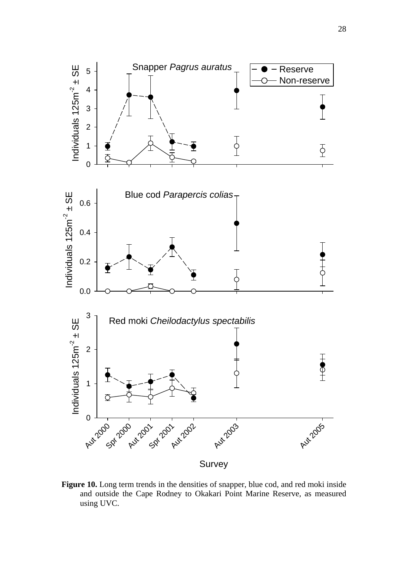

Figure 10. Long term trends in the densities of snapper, blue cod, and red moki inside and outside the Cape Rodney to Okakari Point Marine Reserve, as measured using UVC.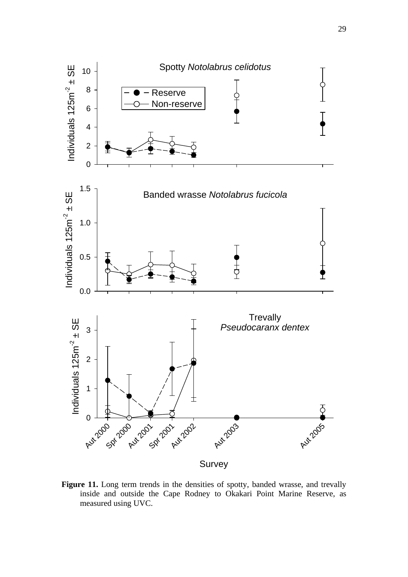

Figure 11. Long term trends in the densities of spotty, banded wrasse, and trevally inside and outside the Cape Rodney to Okakari Point Marine Reserve, as measured using UVC.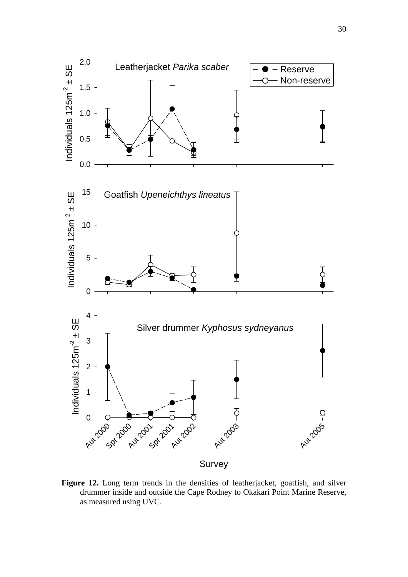

**Figure 12.** Long term trends in the densities of leatherjacket, goatfish, and silver drummer inside and outside the Cape Rodney to Okakari Point Marine Reserve, as measured using UVC.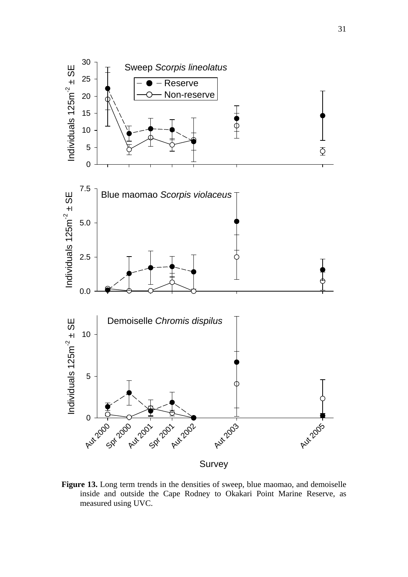

**Figure 13.** Long term trends in the densities of sweep, blue maomao, and demoiselle inside and outside the Cape Rodney to Okakari Point Marine Reserve, as measured using UVC.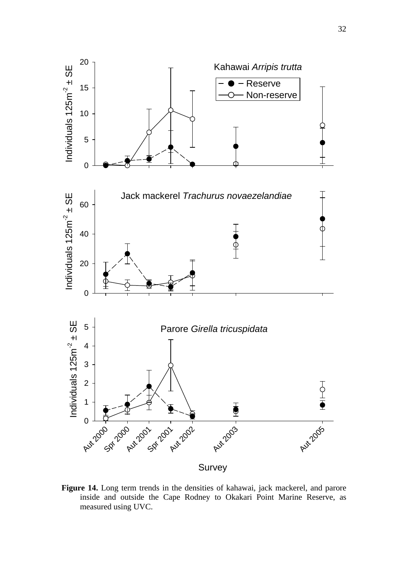

**Figure 14.** Long term trends in the densities of kahawai, jack mackerel, and parore inside and outside the Cape Rodney to Okakari Point Marine Reserve, as measured using UVC.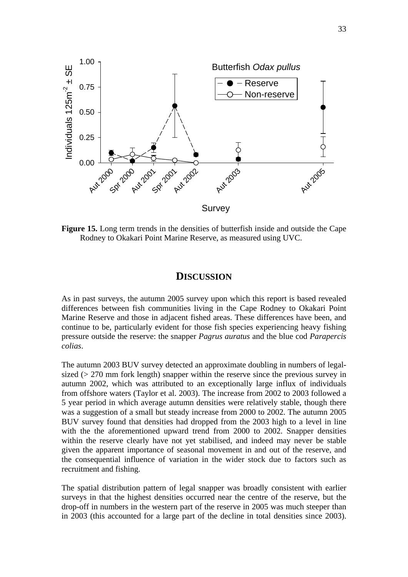

**Figure 15.** Long term trends in the densities of butterfish inside and outside the Cape Rodney to Okakari Point Marine Reserve, as measured using UVC.

# **DISCUSSION**

As in past surveys, the autumn 2005 survey upon which this report is based revealed differences between fish communities living in the Cape Rodney to Okakari Point Marine Reserve and those in adjacent fished areas. These differences have been, and continue to be, particularly evident for those fish species experiencing heavy fishing pressure outside the reserve: the snapper *Pagrus auratus* and the blue cod *Parapercis colias*.

The autumn 2003 BUV survey detected an approximate doubling in numbers of legalsized (> 270 mm fork length) snapper within the reserve since the previous survey in autumn 2002, which was attributed to an exceptionally large influx of individuals from offshore waters (Taylor et al. 2003). The increase from 2002 to 2003 followed a 5 year period in which average autumn densities were relatively stable, though there was a suggestion of a small but steady increase from 2000 to 2002. The autumn 2005 BUV survey found that densities had dropped from the 2003 high to a level in line with the the aforementioned upward trend from 2000 to 2002. Snapper densities within the reserve clearly have not yet stabilised, and indeed may never be stable given the apparent importance of seasonal movement in and out of the reserve, and the consequential influence of variation in the wider stock due to factors such as recruitment and fishing.

The spatial distribution pattern of legal snapper was broadly consistent with earlier surveys in that the highest densities occurred near the centre of the reserve, but the drop-off in numbers in the western part of the reserve in 2005 was much steeper than in 2003 (this accounted for a large part of the decline in total densities since 2003).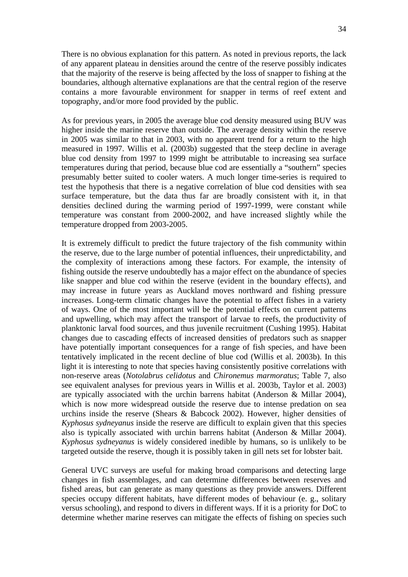There is no obvious explanation for this pattern. As noted in previous reports, the lack of any apparent plateau in densities around the centre of the reserve possibly indicates that the majority of the reserve is being affected by the loss of snapper to fishing at the boundaries, although alternative explanations are that the central region of the reserve contains a more favourable environment for snapper in terms of reef extent and topography, and/or more food provided by the public.

As for previous years, in 2005 the average blue cod density measured using BUV was higher inside the marine reserve than outside. The average density within the reserve in 2005 was similar to that in 2003, with no apparent trend for a return to the high measured in 1997. Willis et al. (2003b) suggested that the steep decline in average blue cod density from 1997 to 1999 might be attributable to increasing sea surface temperatures during that period, because blue cod are essentially a "southern" species presumably better suited to cooler waters. A much longer time-series is required to test the hypothesis that there is a negative correlation of blue cod densities with sea surface temperature, but the data thus far are broadly consistent with it, in that densities declined during the warming period of 1997-1999, were constant while temperature was constant from 2000-2002, and have increased slightly while the temperature dropped from 2003-2005.

It is extremely difficult to predict the future trajectory of the fish community within the reserve, due to the large number of potential influences, their unpredictability, and the complexity of interactions among these factors. For example, the intensity of fishing outside the reserve undoubtedly has a major effect on the abundance of species like snapper and blue cod within the reserve (evident in the boundary effects), and may increase in future years as Auckland moves northward and fishing pressure increases. Long-term climatic changes have the potential to affect fishes in a variety of ways. One of the most important will be the potential effects on current patterns and upwelling, which may affect the transport of larvae to reefs, the productivity of planktonic larval food sources, and thus juvenile recruitment (Cushing 1995). Habitat changes due to cascading effects of increased densities of predators such as snapper have potentially important consequences for a range of fish species, and have been tentatively implicated in the recent decline of blue cod (Willis et al. 2003b). In this light it is interesting to note that species having consistently positive correlations with non-reserve areas (*Notolabrus celidotus* and *Chironemus marmoratus*; Table 7, also see equivalent analyses for previous years in Willis et al. 2003b, Taylor et al. 2003) are typically associated with the urchin barrens habitat (Anderson & Millar 2004), which is now more widespread outside the reserve due to intense predation on sea urchins inside the reserve (Shears & Babcock 2002). However, higher densities of *Kyphosus sydneyanus* inside the reserve are difficult to explain given that this species also is typically associated with urchin barrens habitat (Anderson & Millar 2004). *Kyphosus sydneyanus* is widely considered inedible by humans, so is unlikely to be targeted outside the reserve, though it is possibly taken in gill nets set for lobster bait.

General UVC surveys are useful for making broad comparisons and detecting large changes in fish assemblages, and can determine differences between reserves and fished areas, but can generate as many questions as they provide answers. Different species occupy different habitats, have different modes of behaviour (e. g., solitary versus schooling), and respond to divers in different ways. If it is a priority for DoC to determine whether marine reserves can mitigate the effects of fishing on species such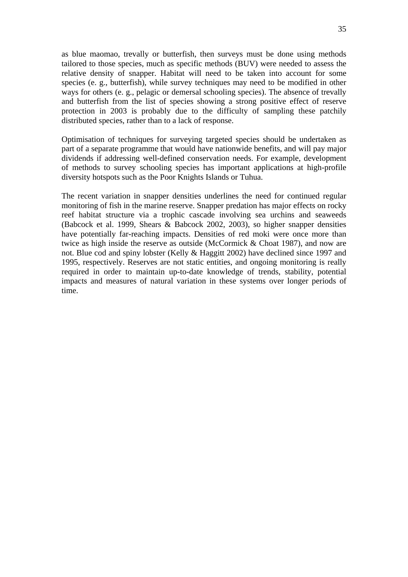as blue maomao, trevally or butterfish, then surveys must be done using methods tailored to those species, much as specific methods (BUV) were needed to assess the relative density of snapper. Habitat will need to be taken into account for some species (e. g., butterfish), while survey techniques may need to be modified in other ways for others (e. g., pelagic or demersal schooling species). The absence of trevally and butterfish from the list of species showing a strong positive effect of reserve protection in 2003 is probably due to the difficulty of sampling these patchily distributed species, rather than to a lack of response.

Optimisation of techniques for surveying targeted species should be undertaken as part of a separate programme that would have nationwide benefits, and will pay major dividends if addressing well-defined conservation needs. For example, development of methods to survey schooling species has important applications at high-profile diversity hotspots such as the Poor Knights Islands or Tuhua.

The recent variation in snapper densities underlines the need for continued regular monitoring of fish in the marine reserve. Snapper predation has major effects on rocky reef habitat structure via a trophic cascade involving sea urchins and seaweeds (Babcock et al. 1999, Shears & Babcock 2002, 2003), so higher snapper densities have potentially far-reaching impacts. Densities of red moki were once more than twice as high inside the reserve as outside (McCormick & Choat 1987), and now are not. Blue cod and spiny lobster (Kelly & Haggitt 2002) have declined since 1997 and 1995, respectively. Reserves are not static entities, and ongoing monitoring is really required in order to maintain up-to-date knowledge of trends, stability, potential impacts and measures of natural variation in these systems over longer periods of time.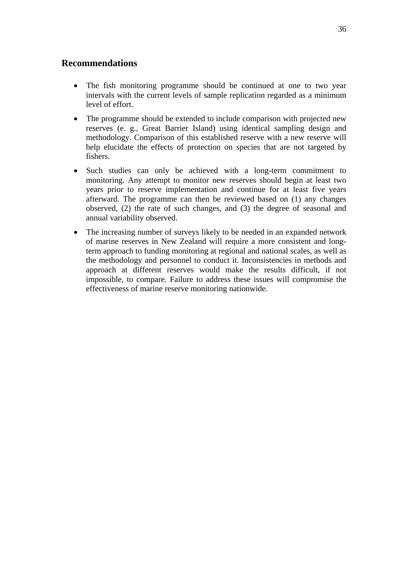# **Recommendations**

- The fish monitoring programme should be continued at one to two year intervals with the current levels of sample replication regarded as a minimum level of effort.
- The programme should be extended to include comparison with projected new reserves (e. g., Great Barrier Island) using identical sampling design and methodology. Comparison of this established reserve with a new reserve will help elucidate the effects of protection on species that are not targeted by fishers.
- Such studies can only be achieved with a long-term commitment to monitoring. Any attempt to monitor new reserves should begin at least two years prior to reserve implementation and continue for at least five years afterward. The programme can then be reviewed based on (1) any changes observed, (2) the rate of such changes, and (3) the degree of seasonal and annual variability observed.
- The increasing number of surveys likely to be needed in an expanded network of marine reserves in New Zealand will require a more consistent and longterm approach to funding monitoring at regional and national scales, as well as the methodology and personnel to conduct it. Inconsistencies in methods and approach at different reserves would make the results difficult, if not impossible, to compare. Failure to address these issues will compromise the effectiveness of marine reserve monitoring nationwide.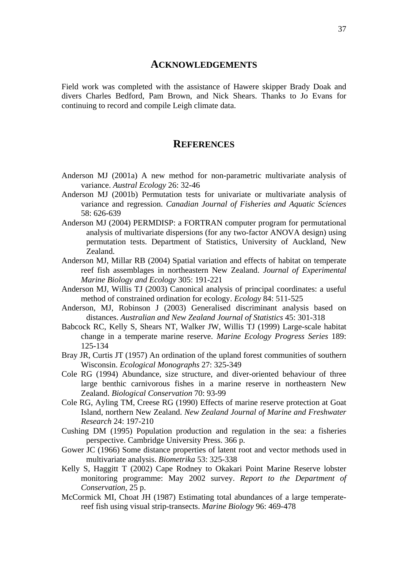#### **ACKNOWLEDGEMENTS**

Field work was completed with the assistance of Hawere skipper Brady Doak and divers Charles Bedford, Pam Brown, and Nick Shears. Thanks to Jo Evans for continuing to record and compile Leigh climate data.

## **REFERENCES**

- Anderson MJ (2001a) A new method for non-parametric multivariate analysis of variance. *Austral Ecology* 26: 32-46
- Anderson MJ (2001b) Permutation tests for univariate or multivariate analysis of variance and regression. *Canadian Journal of Fisheries and Aquatic Sciences* 58: 626-639
- Anderson MJ (2004) PERMDISP: a FORTRAN computer program for permutational analysis of multivariate dispersions (for any two-factor ANOVA design) using permutation tests. Department of Statistics, University of Auckland, New Zealand.
- Anderson MJ, Millar RB (2004) Spatial variation and effects of habitat on temperate reef fish assemblages in northeastern New Zealand. *Journal of Experimental Marine Biology and Ecology* 305: 191-221
- Anderson MJ, Willis TJ (2003) Canonical analysis of principal coordinates: a useful method of constrained ordination for ecology. *Ecology* 84: 511-525
- Anderson, MJ, Robinson J (2003) Generalised discriminant analysis based on distances. *Australian and New Zealand Journal of Statistics* 45: 301-318
- Babcock RC, Kelly S, Shears NT, Walker JW, Willis TJ (1999) Large-scale habitat change in a temperate marine reserve. *Marine Ecology Progress Series* 189: 125-134
- Bray JR, Curtis JT (1957) An ordination of the upland forest communities of southern Wisconsin. *Ecological Monographs* 27: 325-349
- Cole RG (1994) Abundance, size structure, and diver-oriented behaviour of three large benthic carnivorous fishes in a marine reserve in northeastern New Zealand. *Biological Conservation* 70: 93-99
- Cole RG, Ayling TM, Creese RG (1990) Effects of marine reserve protection at Goat Island, northern New Zealand. *New Zealand Journal of Marine and Freshwater Research* 24: 197-210
- Cushing DM (1995) Population production and regulation in the sea: a fisheries perspective. Cambridge University Press. 366 p.
- Gower JC (1966) Some distance properties of latent root and vector methods used in multivariate analysis. *Biometrika* 53: 325-338
- Kelly S, Haggitt T (2002) Cape Rodney to Okakari Point Marine Reserve lobster monitoring programme: May 2002 survey. *Report to the Department of Conservation,* 25 p.
- McCormick MI, Choat JH (1987) Estimating total abundances of a large temperatereef fish using visual strip-transects. *Marine Biology* 96: 469-478